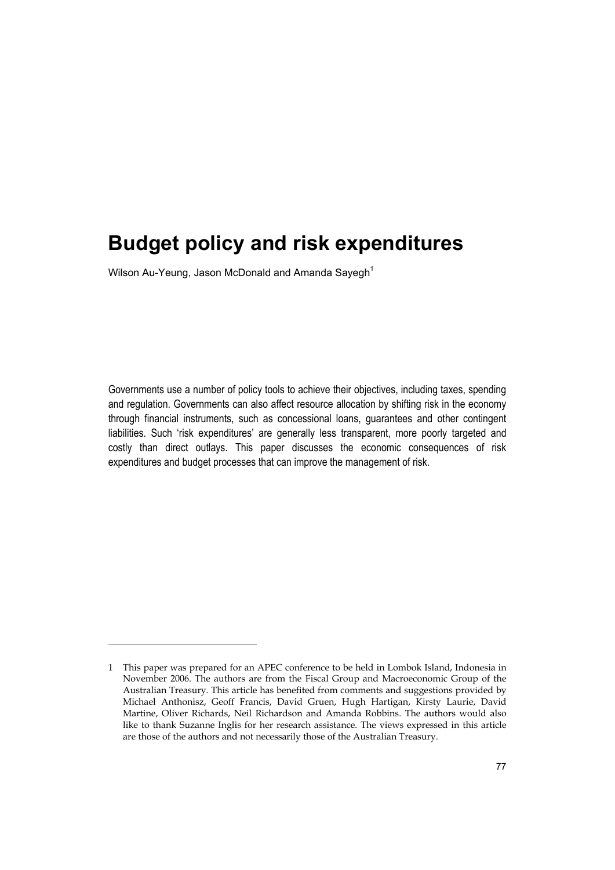Wilson Au-Yeung, Jason McDonald and Amanda Sayegh<sup>1</sup>

j

Governments use a number of policy tools to achieve their objectives, including taxes, spending and regulation. Governments can also affect resource allocation by shifting risk in the economy through financial instruments, such as concessional loans, guarantees and other contingent liabilities. Such 'risk expenditures' are generally less transparent, more poorly targeted and costly than direct outlays. This paper discusses the economic consequences of risk expenditures and budget processes that can improve the management of risk.

<sup>1</sup> This paper was prepared for an APEC conference to be held in Lombok Island, Indonesia in November 2006. The authors are from the Fiscal Group and Macroeconomic Group of the Australian Treasury. This article has benefited from comments and suggestions provided by Michael Anthonisz, Geoff Francis, David Gruen, Hugh Hartigan, Kirsty Laurie, David Martine, Oliver Richards, Neil Richardson and Amanda Robbins. The authors would also like to thank Suzanne Inglis for her research assistance. The views expressed in this article are those of the authors and not necessarily those of the Australian Treasury.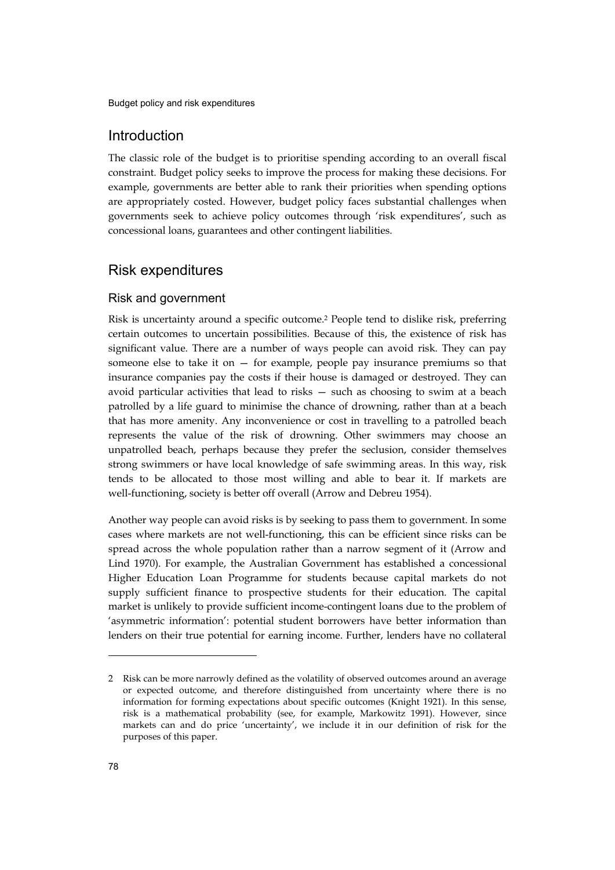# Introduction

The classic role of the budget is to prioritise spending according to an overall fiscal constraint. Budget policy seeks to improve the process for making these decisions. For example, governments are better able to rank their priorities when spending options are appropriately costed. However, budget policy faces substantial challenges when governments seek to achieve policy outcomes through 'risk expenditures', such as concessional loans, guarantees and other contingent liabilities.

# Risk expenditures

### Risk and government

Risk is uncertainty around a specific outcome.2 People tend to dislike risk, preferring certain outcomes to uncertain possibilities. Because of this, the existence of risk has significant value. There are a number of ways people can avoid risk. They can pay someone else to take it on  $-$  for example, people pay insurance premiums so that insurance companies pay the costs if their house is damaged or destroyed. They can avoid particular activities that lead to risks — such as choosing to swim at a beach patrolled by a life guard to minimise the chance of drowning, rather than at a beach that has more amenity. Any inconvenience or cost in travelling to a patrolled beach represents the value of the risk of drowning. Other swimmers may choose an unpatrolled beach, perhaps because they prefer the seclusion, consider themselves strong swimmers or have local knowledge of safe swimming areas. In this way, risk tends to be allocated to those most willing and able to bear it. If markets are well-functioning, society is better off overall (Arrow and Debreu 1954).

Another way people can avoid risks is by seeking to pass them to government. In some cases where markets are not well-functioning, this can be efficient since risks can be spread across the whole population rather than a narrow segment of it (Arrow and Lind 1970). For example, the Australian Government has established a concessional Higher Education Loan Programme for students because capital markets do not supply sufficient finance to prospective students for their education. The capital market is unlikely to provide sufficient income-contingent loans due to the problem of 'asymmetric information': potential student borrowers have better information than lenders on their true potential for earning income. Further, lenders have no collateral

<sup>2</sup> Risk can be more narrowly defined as the volatility of observed outcomes around an average or expected outcome, and therefore distinguished from uncertainty where there is no information for forming expectations about specific outcomes (Knight 1921). In this sense, risk is a mathematical probability (see, for example, Markowitz 1991). However, since markets can and do price 'uncertainty', we include it in our definition of risk for the purposes of this paper.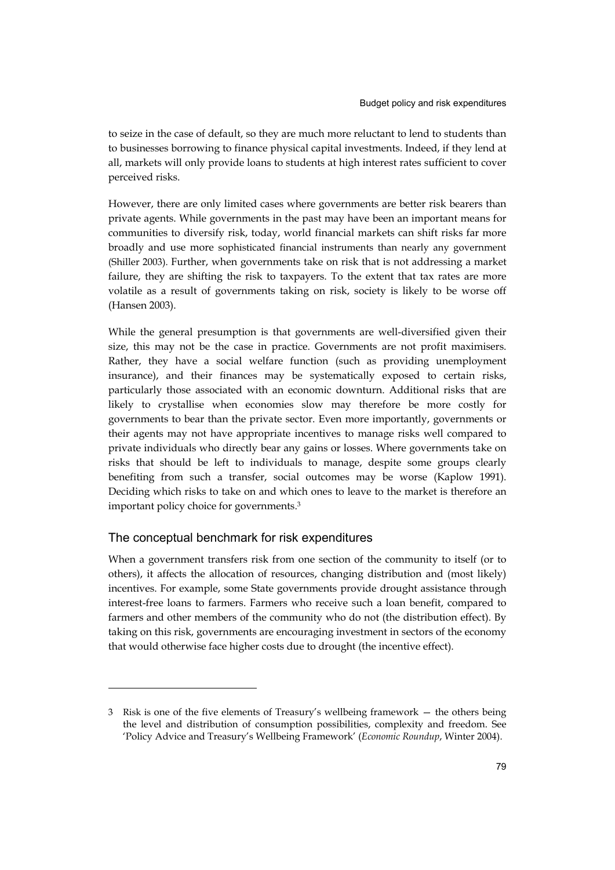to seize in the case of default, so they are much more reluctant to lend to students than to businesses borrowing to finance physical capital investments. Indeed, if they lend at all, markets will only provide loans to students at high interest rates sufficient to cover perceived risks.

However, there are only limited cases where governments are better risk bearers than private agents. While governments in the past may have been an important means for communities to diversify risk, today, world financial markets can shift risks far more broadly and use more sophisticated financial instruments than nearly any government (Shiller 2003). Further, when governments take on risk that is not addressing a market failure, they are shifting the risk to taxpayers. To the extent that tax rates are more volatile as a result of governments taking on risk, society is likely to be worse off (Hansen 2003).

While the general presumption is that governments are well-diversified given their size, this may not be the case in practice. Governments are not profit maximisers. Rather, they have a social welfare function (such as providing unemployment insurance), and their finances may be systematically exposed to certain risks, particularly those associated with an economic downturn. Additional risks that are likely to crystallise when economies slow may therefore be more costly for governments to bear than the private sector. Even more importantly, governments or their agents may not have appropriate incentives to manage risks well compared to private individuals who directly bear any gains or losses. Where governments take on risks that should be left to individuals to manage, despite some groups clearly benefiting from such a transfer, social outcomes may be worse (Kaplow 1991). Deciding which risks to take on and which ones to leave to the market is therefore an important policy choice for governments.3

#### The conceptual benchmark for risk expenditures

-

When a government transfers risk from one section of the community to itself (or to others), it affects the allocation of resources, changing distribution and (most likely) incentives. For example, some State governments provide drought assistance through interest-free loans to farmers. Farmers who receive such a loan benefit, compared to farmers and other members of the community who do not (the distribution effect). By taking on this risk, governments are encouraging investment in sectors of the economy that would otherwise face higher costs due to drought (the incentive effect).

<sup>3</sup> Risk is one of the five elements of Treasury's wellbeing framework — the others being the level and distribution of consumption possibilities, complexity and freedom. See 'Policy Advice and Treasury's Wellbeing Framework' (*Economic Roundup*, Winter 2004).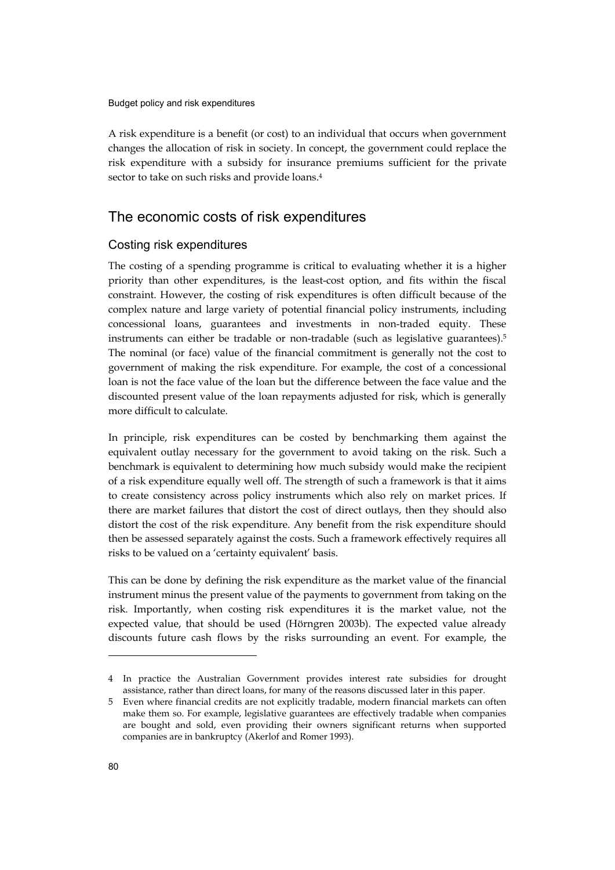A risk expenditure is a benefit (or cost) to an individual that occurs when government changes the allocation of risk in society. In concept, the government could replace the risk expenditure with a subsidy for insurance premiums sufficient for the private sector to take on such risks and provide loans.4

# The economic costs of risk expenditures

#### Costing risk expenditures

The costing of a spending programme is critical to evaluating whether it is a higher priority than other expenditures, is the least-cost option, and fits within the fiscal constraint. However, the costing of risk expenditures is often difficult because of the complex nature and large variety of potential financial policy instruments, including concessional loans, guarantees and investments in non-traded equity. These instruments can either be tradable or non-tradable (such as legislative guarantees).5 The nominal (or face) value of the financial commitment is generally not the cost to government of making the risk expenditure. For example, the cost of a concessional loan is not the face value of the loan but the difference between the face value and the discounted present value of the loan repayments adjusted for risk, which is generally more difficult to calculate.

In principle, risk expenditures can be costed by benchmarking them against the equivalent outlay necessary for the government to avoid taking on the risk. Such a benchmark is equivalent to determining how much subsidy would make the recipient of a risk expenditure equally well off. The strength of such a framework is that it aims to create consistency across policy instruments which also rely on market prices. If there are market failures that distort the cost of direct outlays, then they should also distort the cost of the risk expenditure. Any benefit from the risk expenditure should then be assessed separately against the costs. Such a framework effectively requires all risks to be valued on a 'certainty equivalent' basis.

This can be done by defining the risk expenditure as the market value of the financial instrument minus the present value of the payments to government from taking on the risk. Importantly, when costing risk expenditures it is the market value, not the expected value, that should be used (Hörngren 2003b). The expected value already discounts future cash flows by the risks surrounding an event. For example, the

<sup>4</sup> In practice the Australian Government provides interest rate subsidies for drought assistance, rather than direct loans, for many of the reasons discussed later in this paper.

<sup>5</sup> Even where financial credits are not explicitly tradable, modern financial markets can often make them so. For example, legislative guarantees are effectively tradable when companies are bought and sold, even providing their owners significant returns when supported companies are in bankruptcy (Akerlof and Romer 1993).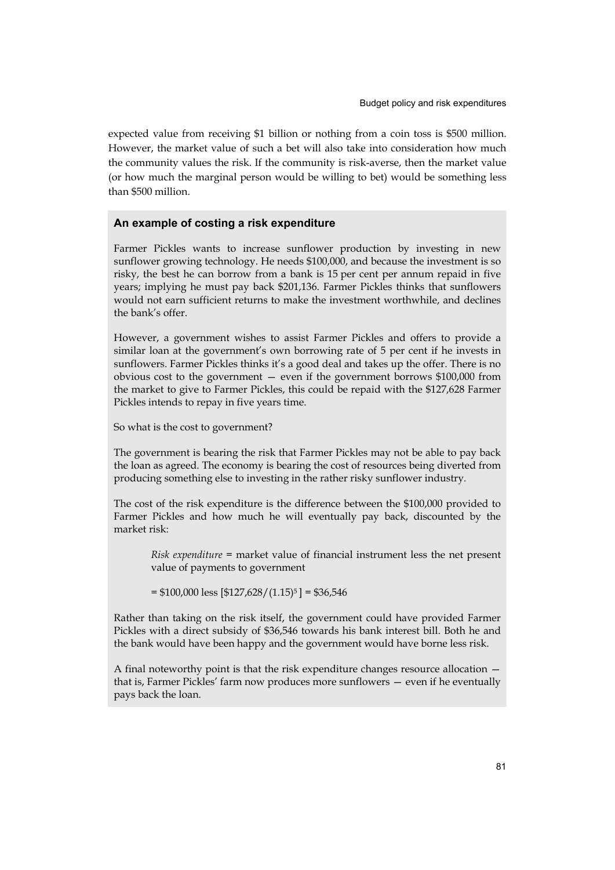expected value from receiving \$1 billion or nothing from a coin toss is \$500 million. However, the market value of such a bet will also take into consideration how much the community values the risk. If the community is risk-averse, then the market value (or how much the marginal person would be willing to bet) would be something less than \$500 million.

#### **An example of costing a risk expenditure**

Farmer Pickles wants to increase sunflower production by investing in new sunflower growing technology. He needs \$100,000, and because the investment is so risky, the best he can borrow from a bank is 15 per cent per annum repaid in five years; implying he must pay back \$201,136. Farmer Pickles thinks that sunflowers would not earn sufficient returns to make the investment worthwhile, and declines the bank's offer.

However, a government wishes to assist Farmer Pickles and offers to provide a similar loan at the government's own borrowing rate of 5 per cent if he invests in sunflowers. Farmer Pickles thinks it's a good deal and takes up the offer. There is no obvious cost to the government — even if the government borrows \$100,000 from the market to give to Farmer Pickles, this could be repaid with the \$127,628 Farmer Pickles intends to repay in five years time.

So what is the cost to government?

The government is bearing the risk that Farmer Pickles may not be able to pay back the loan as agreed. The economy is bearing the cost of resources being diverted from producing something else to investing in the rather risky sunflower industry.

The cost of the risk expenditure is the difference between the \$100,000 provided to Farmer Pickles and how much he will eventually pay back, discounted by the market risk:

*Risk expenditure* = market value of financial instrument less the net present value of payments to government

 $= $100,000$  less  $[$127,628/(1.15)^5] = $36,546$ 

Rather than taking on the risk itself, the government could have provided Farmer Pickles with a direct subsidy of \$36,546 towards his bank interest bill. Both he and the bank would have been happy and the government would have borne less risk.

A final noteworthy point is that the risk expenditure changes resource allocation that is, Farmer Pickles' farm now produces more sunflowers — even if he eventually pays back the loan.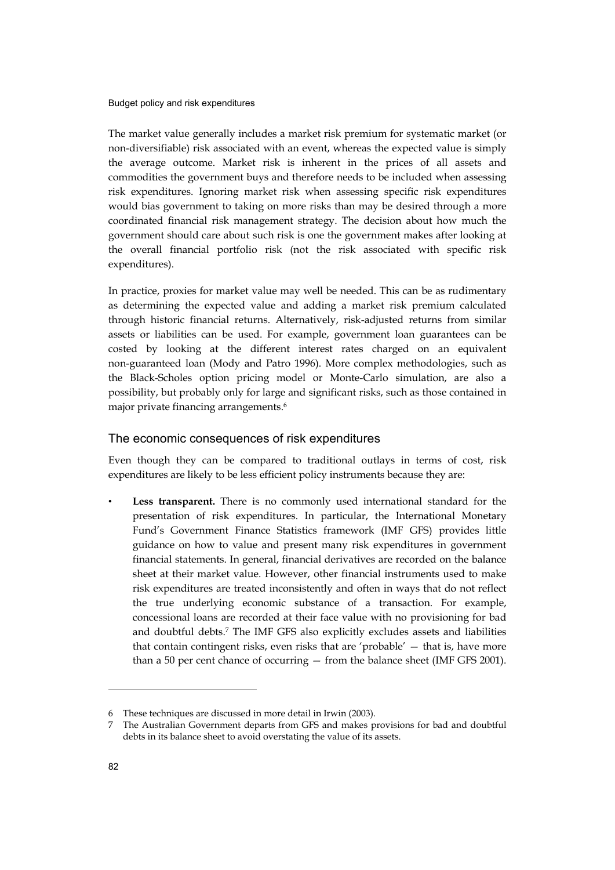The market value generally includes a market risk premium for systematic market (or non-diversifiable) risk associated with an event, whereas the expected value is simply the average outcome. Market risk is inherent in the prices of all assets and commodities the government buys and therefore needs to be included when assessing risk expenditures. Ignoring market risk when assessing specific risk expenditures would bias government to taking on more risks than may be desired through a more coordinated financial risk management strategy. The decision about how much the government should care about such risk is one the government makes after looking at the overall financial portfolio risk (not the risk associated with specific risk expenditures).

In practice, proxies for market value may well be needed. This can be as rudimentary as determining the expected value and adding a market risk premium calculated through historic financial returns. Alternatively, risk-adjusted returns from similar assets or liabilities can be used. For example, government loan guarantees can be costed by looking at the different interest rates charged on an equivalent non-guaranteed loan (Mody and Patro 1996). More complex methodologies, such as the Black-Scholes option pricing model or Monte-Carlo simulation, are also a possibility, but probably only for large and significant risks, such as those contained in major private financing arrangements.6

#### The economic consequences of risk expenditures

Even though they can be compared to traditional outlays in terms of cost, risk expenditures are likely to be less efficient policy instruments because they are:

Less transparent. There is no commonly used international standard for the presentation of risk expenditures. In particular, the International Monetary Fund's Government Finance Statistics framework (IMF GFS) provides little guidance on how to value and present many risk expenditures in government financial statements. In general, financial derivatives are recorded on the balance sheet at their market value. However, other financial instruments used to make risk expenditures are treated inconsistently and often in ways that do not reflect the true underlying economic substance of a transaction. For example, concessional loans are recorded at their face value with no provisioning for bad and doubtful debts.7 The IMF GFS also explicitly excludes assets and liabilities that contain contingent risks, even risks that are 'probable' — that is, have more than a 50 per cent chance of occurring — from the balance sheet (IMF GFS 2001).

<sup>6</sup> These techniques are discussed in more detail in Irwin (2003).

<sup>7</sup> The Australian Government departs from GFS and makes provisions for bad and doubtful debts in its balance sheet to avoid overstating the value of its assets.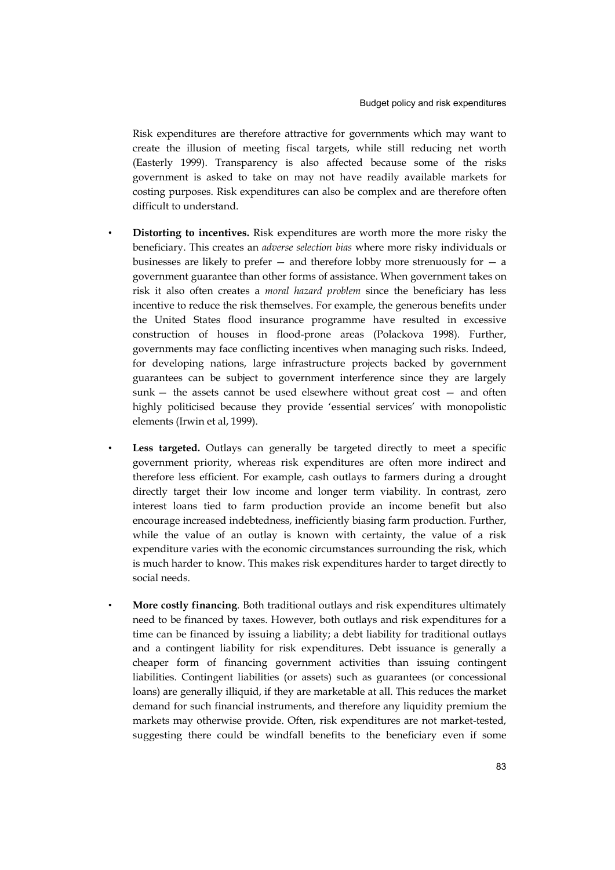Risk expenditures are therefore attractive for governments which may want to create the illusion of meeting fiscal targets, while still reducing net worth (Easterly 1999). Transparency is also affected because some of the risks government is asked to take on may not have readily available markets for costing purposes. Risk expenditures can also be complex and are therefore often difficult to understand.

- • **Distorting to incentives.** Risk expenditures are worth more the more risky the beneficiary. This creates an *adverse selection bias* where more risky individuals or businesses are likely to prefer  $-$  and therefore lobby more strenuously for  $-$  a government guarantee than other forms of assistance. When government takes on risk it also often creates a *moral hazard problem* since the beneficiary has less incentive to reduce the risk themselves. For example, the generous benefits under the United States flood insurance programme have resulted in excessive construction of houses in flood-prone areas (Polackova 1998). Further, governments may face conflicting incentives when managing such risks. Indeed, for developing nations, large infrastructure projects backed by government guarantees can be subject to government interference since they are largely sunk — the assets cannot be used elsewhere without great cost — and often highly politicised because they provide 'essential services' with monopolistic elements (Irwin et al, 1999).
- • **Less targeted.** Outlays can generally be targeted directly to meet a specific government priority, whereas risk expenditures are often more indirect and therefore less efficient. For example, cash outlays to farmers during a drought directly target their low income and longer term viability. In contrast, zero interest loans tied to farm production provide an income benefit but also encourage increased indebtedness, inefficiently biasing farm production. Further, while the value of an outlay is known with certainty, the value of a risk expenditure varies with the economic circumstances surrounding the risk, which is much harder to know. This makes risk expenditures harder to target directly to social needs.
- • **More costly financing**. Both traditional outlays and risk expenditures ultimately need to be financed by taxes. However, both outlays and risk expenditures for a time can be financed by issuing a liability; a debt liability for traditional outlays and a contingent liability for risk expenditures. Debt issuance is generally a cheaper form of financing government activities than issuing contingent liabilities. Contingent liabilities (or assets) such as guarantees (or concessional loans) are generally illiquid, if they are marketable at all. This reduces the market demand for such financial instruments, and therefore any liquidity premium the markets may otherwise provide. Often, risk expenditures are not market-tested, suggesting there could be windfall benefits to the beneficiary even if some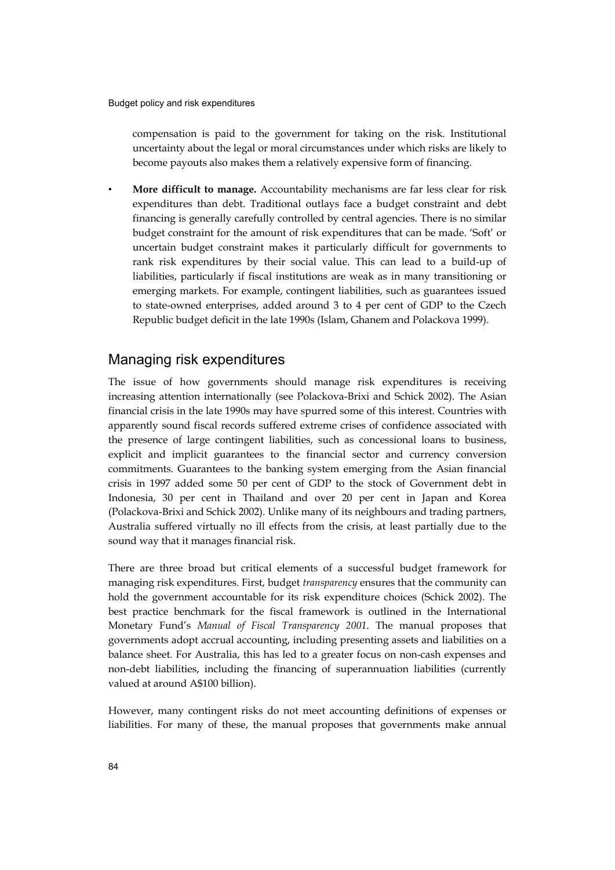compensation is paid to the government for taking on the risk. Institutional uncertainty about the legal or moral circumstances under which risks are likely to become payouts also makes them a relatively expensive form of financing.

• **More difficult to manage.** Accountability mechanisms are far less clear for risk expenditures than debt. Traditional outlays face a budget constraint and debt financing is generally carefully controlled by central agencies. There is no similar budget constraint for the amount of risk expenditures that can be made. 'Soft' or uncertain budget constraint makes it particularly difficult for governments to rank risk expenditures by their social value. This can lead to a build-up of liabilities, particularly if fiscal institutions are weak as in many transitioning or emerging markets. For example, contingent liabilities, such as guarantees issued to state-owned enterprises, added around 3 to 4 per cent of GDP to the Czech Republic budget deficit in the late 1990s (Islam, Ghanem and Polackova 1999).

## Managing risk expenditures

The issue of how governments should manage risk expenditures is receiving increasing attention internationally (see Polackova-Brixi and Schick 2002). The Asian financial crisis in the late 1990s may have spurred some of this interest. Countries with apparently sound fiscal records suffered extreme crises of confidence associated with the presence of large contingent liabilities, such as concessional loans to business, explicit and implicit guarantees to the financial sector and currency conversion commitments. Guarantees to the banking system emerging from the Asian financial crisis in 1997 added some 50 per cent of GDP to the stock of Government debt in Indonesia, 30 per cent in Thailand and over 20 per cent in Japan and Korea (Polackova-Brixi and Schick 2002). Unlike many of its neighbours and trading partners, Australia suffered virtually no ill effects from the crisis, at least partially due to the sound way that it manages financial risk.

There are three broad but critical elements of a successful budget framework for managing risk expenditures. First, budget *transparency* ensures that the community can hold the government accountable for its risk expenditure choices (Schick 2002). The best practice benchmark for the fiscal framework is outlined in the International Monetary Fund's *Manual of Fiscal Transparency 2001*. The manual proposes that governments adopt accrual accounting, including presenting assets and liabilities on a balance sheet. For Australia, this has led to a greater focus on non-cash expenses and non-debt liabilities, including the financing of superannuation liabilities (currently valued at around A\$100 billion).

However, many contingent risks do not meet accounting definitions of expenses or liabilities. For many of these, the manual proposes that governments make annual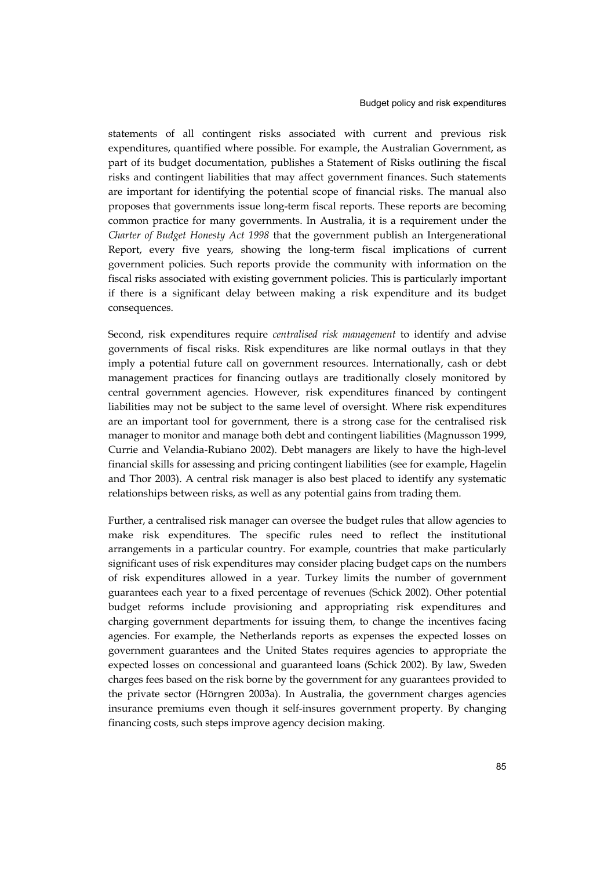statements of all contingent risks associated with current and previous risk expenditures, quantified where possible. For example, the Australian Government, as part of its budget documentation, publishes a Statement of Risks outlining the fiscal risks and contingent liabilities that may affect government finances. Such statements are important for identifying the potential scope of financial risks. The manual also proposes that governments issue long-term fiscal reports. These reports are becoming common practice for many governments. In Australia, it is a requirement under the *Charter of Budget Honesty Act 1998* that the government publish an Intergenerational Report, every five years, showing the long-term fiscal implications of current government policies. Such reports provide the community with information on the fiscal risks associated with existing government policies. This is particularly important if there is a significant delay between making a risk expenditure and its budget consequences.

Second, risk expenditures require *centralised risk management* to identify and advise governments of fiscal risks. Risk expenditures are like normal outlays in that they imply a potential future call on government resources. Internationally, cash or debt management practices for financing outlays are traditionally closely monitored by central government agencies. However, risk expenditures financed by contingent liabilities may not be subject to the same level of oversight. Where risk expenditures are an important tool for government, there is a strong case for the centralised risk manager to monitor and manage both debt and contingent liabilities (Magnusson 1999, Currie and Velandia-Rubiano 2002). Debt managers are likely to have the high-level financial skills for assessing and pricing contingent liabilities (see for example, Hagelin and Thor 2003). A central risk manager is also best placed to identify any systematic relationships between risks, as well as any potential gains from trading them.

Further, a centralised risk manager can oversee the budget rules that allow agencies to make risk expenditures. The specific rules need to reflect the institutional arrangements in a particular country. For example, countries that make particularly significant uses of risk expenditures may consider placing budget caps on the numbers of risk expenditures allowed in a year. Turkey limits the number of government guarantees each year to a fixed percentage of revenues (Schick 2002). Other potential budget reforms include provisioning and appropriating risk expenditures and charging government departments for issuing them, to change the incentives facing agencies. For example, the Netherlands reports as expenses the expected losses on government guarantees and the United States requires agencies to appropriate the expected losses on concessional and guaranteed loans (Schick 2002). By law, Sweden charges fees based on the risk borne by the government for any guarantees provided to the private sector (Hörngren 2003a). In Australia, the government charges agencies insurance premiums even though it self-insures government property. By changing financing costs, such steps improve agency decision making.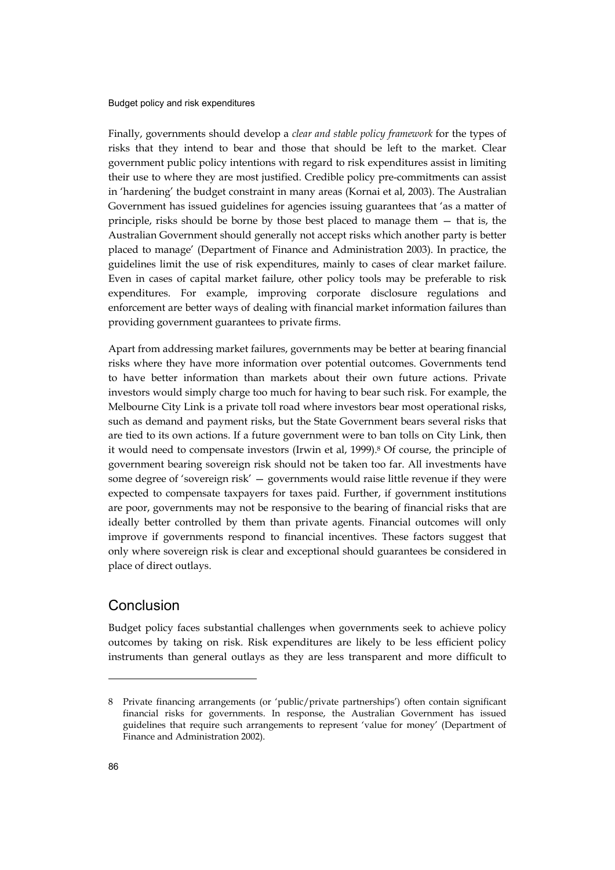Finally, governments should develop a *clear and stable policy framework* for the types of risks that they intend to bear and those that should be left to the market. Clear government public policy intentions with regard to risk expenditures assist in limiting their use to where they are most justified. Credible policy pre-commitments can assist in 'hardening' the budget constraint in many areas (Kornai et al, 2003). The Australian Government has issued guidelines for agencies issuing guarantees that 'as a matter of principle, risks should be borne by those best placed to manage them — that is, the Australian Government should generally not accept risks which another party is better placed to manage' (Department of Finance and Administration 2003). In practice, the guidelines limit the use of risk expenditures, mainly to cases of clear market failure. Even in cases of capital market failure, other policy tools may be preferable to risk expenditures. For example, improving corporate disclosure regulations and enforcement are better ways of dealing with financial market information failures than providing government guarantees to private firms.

Apart from addressing market failures, governments may be better at bearing financial risks where they have more information over potential outcomes. Governments tend to have better information than markets about their own future actions. Private investors would simply charge too much for having to bear such risk. For example, the Melbourne City Link is a private toll road where investors bear most operational risks, such as demand and payment risks, but the State Government bears several risks that are tied to its own actions. If a future government were to ban tolls on City Link, then it would need to compensate investors (Irwin et al, 1999).8 Of course, the principle of government bearing sovereign risk should not be taken too far. All investments have some degree of 'sovereign risk' — governments would raise little revenue if they were expected to compensate taxpayers for taxes paid. Further, if government institutions are poor, governments may not be responsive to the bearing of financial risks that are ideally better controlled by them than private agents. Financial outcomes will only improve if governments respond to financial incentives. These factors suggest that only where sovereign risk is clear and exceptional should guarantees be considered in place of direct outlays.

# Conclusion

Budget policy faces substantial challenges when governments seek to achieve policy outcomes by taking on risk. Risk expenditures are likely to be less efficient policy instruments than general outlays as they are less transparent and more difficult to

<sup>8</sup> Private financing arrangements (or 'public/private partnerships') often contain significant financial risks for governments. In response, the Australian Government has issued guidelines that require such arrangements to represent 'value for money' (Department of Finance and Administration 2002).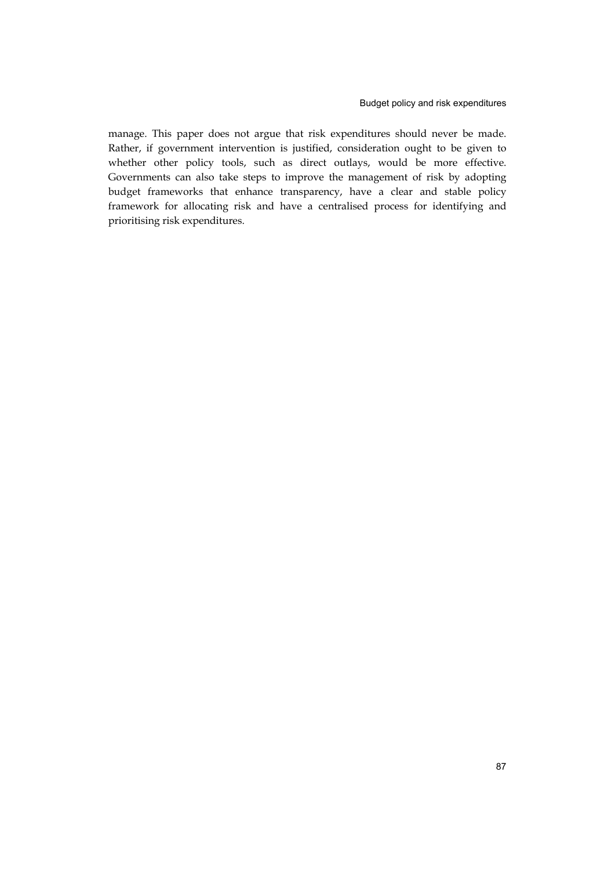manage. This paper does not argue that risk expenditures should never be made. Rather, if government intervention is justified, consideration ought to be given to whether other policy tools, such as direct outlays, would be more effective. Governments can also take steps to improve the management of risk by adopting budget frameworks that enhance transparency, have a clear and stable policy framework for allocating risk and have a centralised process for identifying and prioritising risk expenditures.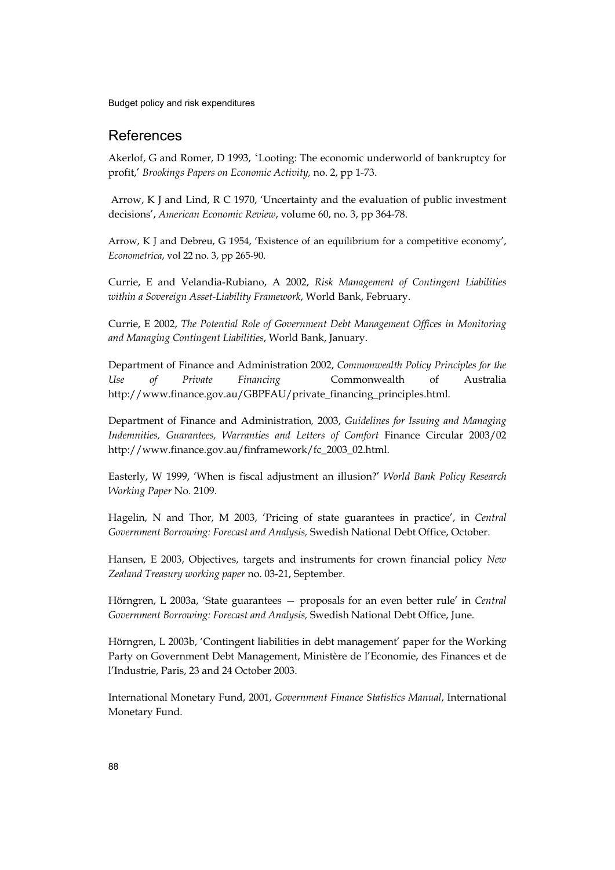# References

Akerlof, G and Romer, D 1993, 'Looting: The economic underworld of bankruptcy for profit,' *Brookings Papers on Economic Activity,* no. 2, pp 1-73.

 Arrow, K J and Lind, R C 1970, 'Uncertainty and the evaluation of public investment decisions', *American Economic Review*, volume 60, no. 3, pp 364-78.

Arrow, K J and Debreu, G 1954, 'Existence of an equilibrium for a competitive economy', *Econometrica*, vol 22 no. 3, pp 265-90.

Currie, E and Velandia-Rubiano, A 2002, *Risk Management of Contingent Liabilities within a Sovereign Asset-Liability Framework*, World Bank, February.

Currie, E 2002, *The Potential Role of Government Debt Management Offices in Monitoring and Managing Contingent Liabilities*, World Bank, January.

Department of Finance and Administration 2002, *Commonwealth Policy Principles for the Use of Private Financing* Commonwealth of Australia http://www.finance.gov.au/GBPFAU/private\_financing\_principles.html.

Department of Finance and Administration*,* 2003, *Guidelines for Issuing and Managing Indemnities, Guarantees, Warranties and Letters of Comfort* Finance Circular 2003/02 http://www.finance.gov.au/finframework/fc\_2003\_02.html.

Easterly, W 1999, 'When is fiscal adjustment an illusion?' *World Bank Policy Research Working Paper* No. 2109.

Hagelin, N and Thor, M 2003, 'Pricing of state guarantees in practice', in *Central Government Borrowing: Forecast and Analysis,* Swedish National Debt Office, October.

Hansen, E 2003, Objectives, targets and instruments for crown financial policy *New Zealand Treasury working paper* no. 03-21, September.

Hörngren, L 2003a, 'State guarantees — proposals for an even better rule' in *Central Government Borrowing: Forecast and Analysis,* Swedish National Debt Office, June.

Hörngren, L 2003b, 'Contingent liabilities in debt management' paper for the Working Party on Government Debt Management, Ministère de l'Economie, des Finances et de l'Industrie, Paris, 23 and 24 October 2003.

International Monetary Fund, 2001, *Government Finance Statistics Manual*, International Monetary Fund.